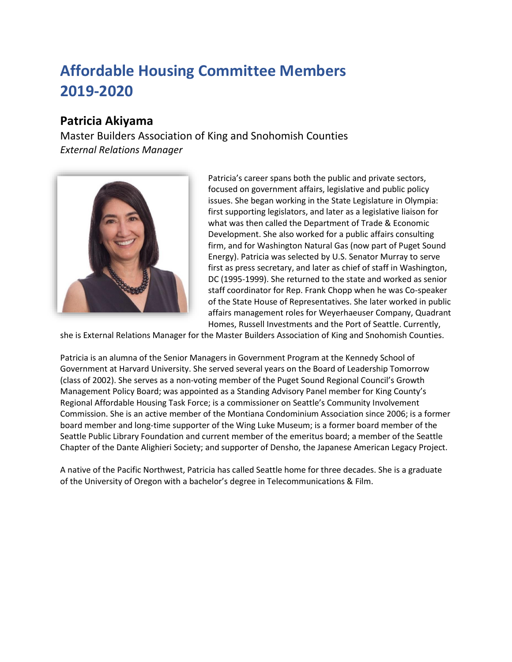# **Affordable Housing Committee Members 2019-2020**

# **Patricia Akiyama**

Master Builders Association of King and Snohomish Counties *External Relations Manager*



Patricia's career spans both the public and private sectors, focused on government affairs, legislative and public policy issues. She began working in the State Legislature in Olympia: first supporting legislators, and later as a legislative liaison for what was then called the Department of Trade & Economic Development. She also worked for a public affairs consulting firm, and for Washington Natural Gas (now part of Puget Sound Energy). Patricia was selected by U.S. Senator Murray to serve first as press secretary, and later as chief of staff in Washington, DC (1995-1999). She returned to the state and worked as senior staff coordinator for Rep. Frank Chopp when he was Co-speaker of the State House of Representatives. She later worked in public affairs management roles for Weyerhaeuser Company, Quadrant Homes, Russell Investments and the Port of Seattle. Currently,

she is External Relations Manager for the Master Builders Association of King and Snohomish Counties.

Patricia is an alumna of the Senior Managers in Government Program at the Kennedy School of Government at Harvard University. She served several years on the Board of Leadership Tomorrow (class of 2002). She serves as a non-voting member of the Puget Sound Regional Council's Growth Management Policy Board; was appointed as a Standing Advisory Panel member for King County's Regional Affordable Housing Task Force; is a commissioner on Seattle's Community Involvement Commission. She is an active member of the Montiana Condominium Association since 2006; is a former board member and long-time supporter of the Wing Luke Museum; is a former board member of the Seattle Public Library Foundation and current member of the emeritus board; a member of the Seattle Chapter of the Dante Alighieri Society; and supporter of Densho, the Japanese American Legacy Project.

A native of the Pacific Northwest, Patricia has called Seattle home for three decades. She is a graduate of the University of Oregon with a bachelor's degree in Telecommunications & Film.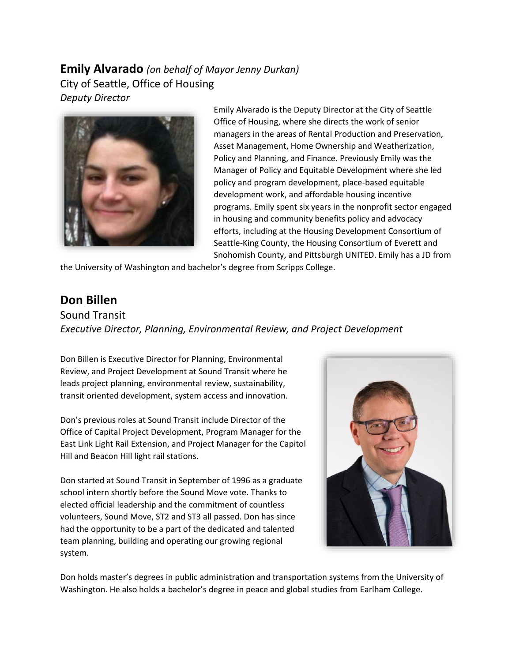### **Emily Alvarado** *(on behalf of Mayor Jenny Durkan)* City of Seattle, Office of Housing *Deputy Director*



Emily Alvarado is the Deputy Director at the City of Seattle Office of Housing, where she directs the work of senior managers in the areas of Rental Production and Preservation, Asset Management, Home Ownership and Weatherization, Policy and Planning, and Finance. Previously Emily was the Manager of Policy and Equitable Development where she led policy and program development, place-based equitable development work, and affordable housing incentive programs. Emily spent six years in the nonprofit sector engaged in housing and community benefits policy and advocacy efforts, including at the Housing Development Consortium of Seattle-King County, the Housing Consortium of Everett and Snohomish County, and Pittsburgh UNITED. Emily has a JD from

the University of Washington and bachelor's degree from Scripps College.

## **Don Billen**

Sound Transit *Executive Director, Planning, Environmental Review, and Project Development*

Don Billen is Executive Director for Planning, Environmental Review, and Project Development at Sound Transit where he leads project planning, environmental review, sustainability, transit oriented development, system access and innovation.

Don's previous roles at Sound Transit include Director of the Office of Capital Project Development, Program Manager for the East Link Light Rail Extension, and Project Manager for the Capitol Hill and Beacon Hill light rail stations.

Don started at Sound Transit in September of 1996 as a graduate school intern shortly before the Sound Move vote. Thanks to elected official leadership and the commitment of countless volunteers, Sound Move, ST2 and ST3 all passed. Don has since had the opportunity to be a part of the dedicated and talented team planning, building and operating our growing regional system.



Don holds master's degrees in public administration and transportation systems from the University of Washington. He also holds a bachelor's degree in peace and global studies from Earlham College.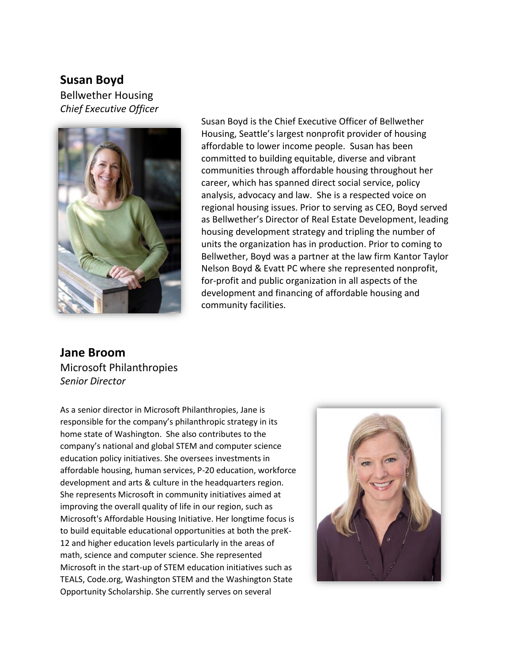#### **Susan Boyd**

Bellwether Housing *Chief Executive Officer*



Susan Boyd is the Chief Executive Officer of Bellwether Housing, Seattle's largest nonprofit provider of housing affordable to lower income people. Susan has been committed to building equitable, diverse and vibrant communities through affordable housing throughout her career, which has spanned direct social service, policy analysis, advocacy and law. She is a respected voice on regional housing issues. Prior to serving as CEO, Boyd served as Bellwether's Director of Real Estate Development, leading housing development strategy and tripling the number of units the organization has in production. Prior to coming to Bellwether, Boyd was a partner at the law firm Kantor Taylor Nelson Boyd & Evatt PC where she represented nonprofit, for-profit and public organization in all aspects of the development and financing of affordable housing and community facilities.

**Jane Broom** Microsoft Philanthropies *Senior Director*

As a senior director in Microsoft Philanthropies, Jane is responsible for the company's philanthropic strategy in its home state of Washington. She also contributes to the company's national and global STEM and computer science education policy initiatives. She oversees investments in affordable housing, human services, P-20 education, workforce development and arts & culture in the headquarters region. She represents Microsoft in community initiatives aimed at improving the overall quality of life in our region, such as Microsoft's Affordable Housing Initiative. Her longtime focus is to build equitable educational opportunities at both the preK-12 and higher education levels particularly in the areas of math, science and computer science. She represented Microsoft in the start-up of STEM education initiatives such as TEALS, Code.org, Washington STEM and the Washington State Opportunity Scholarship. She currently serves on several

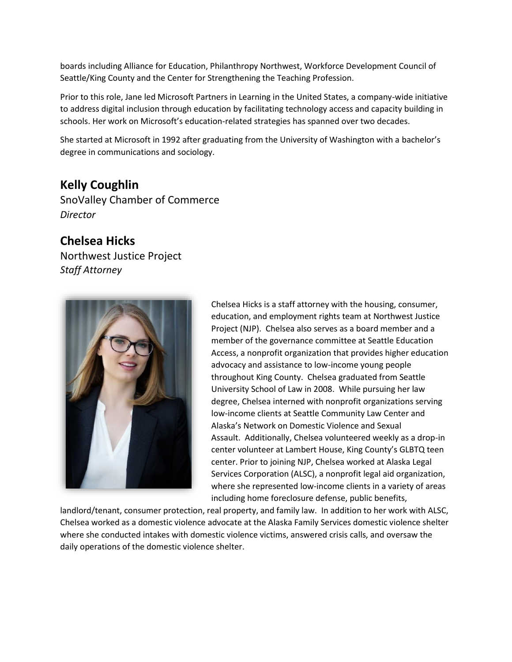boards including Alliance for Education, Philanthropy Northwest, Workforce Development Council of Seattle/King County and the Center for Strengthening the Teaching Profession.

Prior to this role, Jane led Microsoft Partners in Learning in the United States, a company-wide initiative to address digital inclusion through education by facilitating technology access and capacity building in schools. Her work on Microsoft's education-related strategies has spanned over two decades.

She started at Microsoft in 1992 after graduating from the University of Washington with a bachelor's degree in communications and sociology.

## **Kelly Coughlin**

SnoValley Chamber of Commerce *Director*

### **Chelsea Hicks**

Northwest Justice Project *Staff Attorney*



Chelsea Hicks is a staff attorney with the housing, consumer, education, and employment rights team at Northwest Justice Project (NJP). Chelsea also serves as a board member and a member of the governance committee at Seattle Education Access, a nonprofit organization that provides higher education advocacy and assistance to low-income young people throughout King County. Chelsea graduated from Seattle University School of Law in 2008. While pursuing her law degree, Chelsea interned with nonprofit organizations serving low-income clients at Seattle Community Law Center and Alaska's Network on Domestic Violence and Sexual Assault. Additionally, Chelsea volunteered weekly as a drop-in center volunteer at Lambert House, King County's GLBTQ teen center. Prior to joining NJP, Chelsea worked at Alaska Legal Services Corporation (ALSC), a nonprofit legal aid organization, where she represented low-income clients in a variety of areas including home foreclosure defense, public benefits,

landlord/tenant, consumer protection, real property, and family law. In addition to her work with ALSC, Chelsea worked as a domestic violence advocate at the Alaska Family Services domestic violence shelter where she conducted intakes with domestic violence victims, answered crisis calls, and oversaw the daily operations of the domestic violence shelter.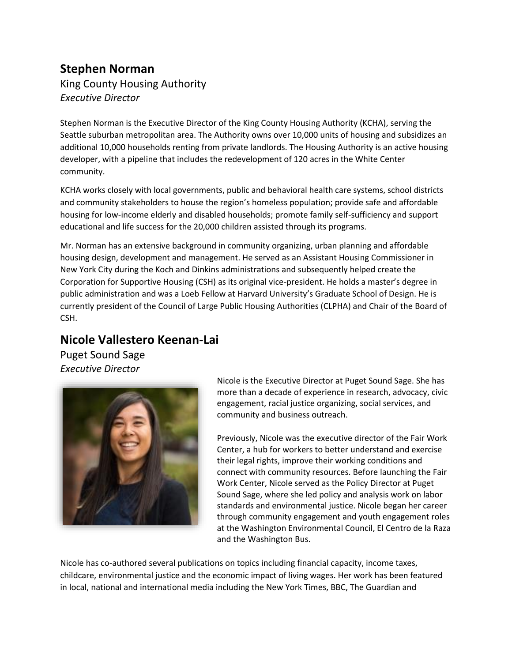### **Stephen Norman** King County Housing Authority *Executive Director*

Stephen Norman is the Executive Director of the King County Housing Authority (KCHA), serving the Seattle suburban metropolitan area. The Authority owns over 10,000 units of housing and subsidizes an additional 10,000 households renting from private landlords. The Housing Authority is an active housing developer, with a pipeline that includes the redevelopment of 120 acres in the White Center community.

KCHA works closely with local governments, public and behavioral health care systems, school districts and community stakeholders to house the region's homeless population; provide safe and affordable housing for low-income elderly and disabled households; promote family self-sufficiency and support educational and life success for the 20,000 children assisted through its programs.

Mr. Norman has an extensive background in community organizing, urban planning and affordable housing design, development and management. He served as an Assistant Housing Commissioner in New York City during the Koch and Dinkins administrations and subsequently helped create the Corporation for Supportive Housing (CSH) as its original vice-president. He holds a master's degree in public administration and was a Loeb Fellow at Harvard University's Graduate School of Design. He is currently president of the Council of Large Public Housing Authorities (CLPHA) and Chair of the Board of CSH.

# **Nicole Vallestero Keenan-Lai**

Puget Sound Sage *Executive Director*



Nicole is the Executive Director at Puget Sound Sage. She has more than a decade of experience in research, advocacy, civic engagement, racial justice organizing, social services, and community and business outreach.

Previously, Nicole was the executive director of the Fair Work Center, a hub for workers to better understand and exercise their legal rights, improve their working conditions and connect with community resources. Before launching the Fair Work Center, Nicole served as the Policy Director at Puget Sound Sage, where she led policy and analysis work on labor standards and environmental justice. Nicole began her career through community engagement and youth engagement roles at the Washington Environmental Council, El Centro de la Raza and the Washington Bus.

Nicole has co-authored several publications on topics including financial capacity, income taxes, childcare, environmental justice and the economic impact of living wages. Her work has been featured in local, national and international media including the New York Times, BBC, The Guardian and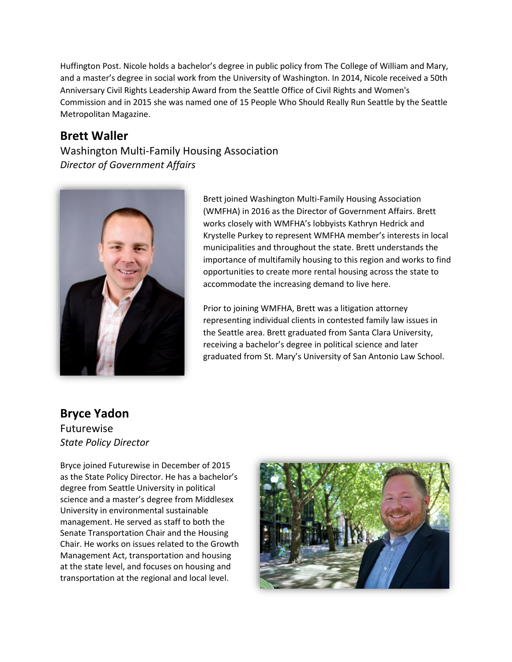Huffington Post. Nicole holds a bachelor's degree in public policy from The College of William and Mary, and a master's degree in social work from the University of Washington. In 2014, Nicole received a 50th Anniversary Civil Rights Leadership Award from the Seattle Office of Civil Rights and Women's Commission and in 2015 she was named one of 15 People Who Should Really Run Seattle by the Seattle Metropolitan Magazine.

### **Brett Waller**

Washington Multi-Family Housing Association *Director of Government Affairs*



Brett joined Washington Multi-Family Housing Association (WMFHA) in 2016 as the Director of Government Affairs. Brett works closely with WMFHA's lobbyists Kathryn Hedrick and Krystelle Purkey to represent WMFHA member's interests in local municipalities and throughout the state. Brett understands the importance of multifamily housing to this region and works to find opportunities to create more rental housing across the state to accommodate the increasing demand to live here.

Prior to joining WMFHA, Brett was a litigation attorney representing individual clients in contested family law issues in the Seattle area. Brett graduated from Santa Clara University, receiving a bachelor's degree in political science and later graduated from St. Mary's University of San Antonio Law School.

# **Bryce Yadon**

Futurewise *State Policy Director*

Bryce joined Futurewise in December of 2015 as the State Policy Director. He has a bachelor's degree from Seattle University in political science and a master's degree from Middlesex University in environmental sustainable management. He served as staff to both the Senate Transportation Chair and the Housing Chair. He works on issues related to the Growth Management Act, transportation and housing at the state level, and focuses on housing and transportation at the regional and local level.

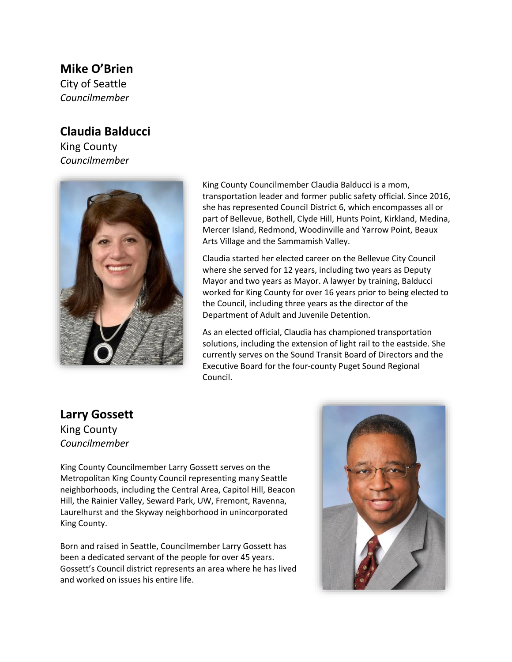### **Mike O'Brien**

City of Seattle *Councilmember*

## **Claudia Balducci**

King County *Councilmember*



King County Councilmember Claudia Balducci is a mom, transportation leader and former public safety official. Since 2016, she has represented Council District 6, which encompasses all or part of Bellevue, Bothell, Clyde Hill, Hunts Point, Kirkland, Medina, Mercer Island, Redmond, Woodinville and Yarrow Point, Beaux Arts Village and the Sammamish Valley.

Claudia started her elected career on the Bellevue City Council where she served for 12 years, including two years as Deputy Mayor and two years as Mayor. A lawyer by training, Balducci worked for King County for over 16 years prior to being elected to the Council, including three years as the director of the Department of Adult and Juvenile Detention.

As an elected official, Claudia has championed transportation solutions, including the extension of light rail to the eastside. She currently serves on the Sound Transit Board of Directors and the Executive Board for the four-county Puget Sound Regional Council.

#### **Larry Gossett** King County *Councilmember*

King County Councilmember Larry Gossett serves on the Metropolitan King County Council representing many Seattle neighborhoods, including the Central Area, Capitol Hill, Beacon Hill, the Rainier Valley, Seward Park, UW, Fremont, Ravenna, Laurelhurst and the Skyway neighborhood in unincorporated King County.

Born and raised in Seattle, Councilmember Larry Gossett has been a dedicated servant of the people for over 45 years. Gossett's Council district represents an area where he has lived and worked on issues his entire life.

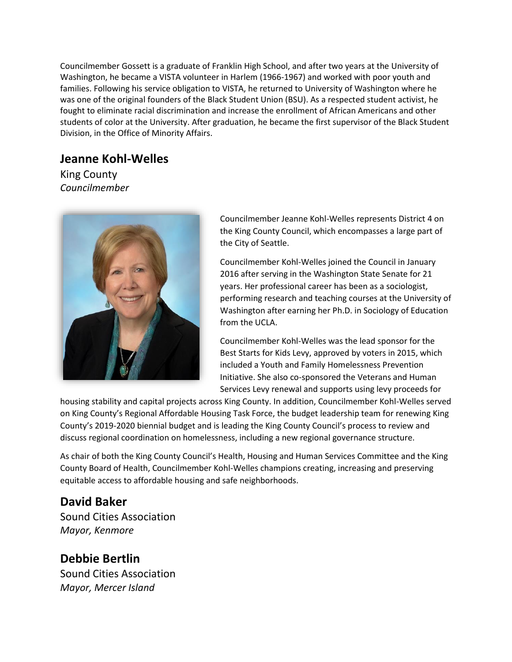Councilmember Gossett is a graduate of Franklin High School, and after two years at the University of Washington, he became a VISTA volunteer in Harlem (1966-1967) and worked with poor youth and families. Following his service obligation to VISTA, he returned to University of Washington where he was one of the original founders of the Black Student Union (BSU). As a respected student activist, he fought to eliminate racial discrimination and increase the enrollment of African Americans and other students of color at the University. After graduation, he became the first supervisor of the Black Student Division, in the Office of Minority Affairs.

# **Jeanne Kohl-Welles**

King County *Councilmember*



Councilmember Jeanne Kohl-Welles represents District 4 on the King County Council, which encompasses a large part of the City of Seattle.

Councilmember Kohl-Welles joined the Council in January 2016 after serving in the Washington State Senate for 21 years. Her professional career has been as a sociologist, performing research and teaching courses at the University of Washington after earning her Ph.D. in Sociology of Education from the UCLA.

Councilmember Kohl-Welles was the lead sponsor for the Best Starts for Kids Levy, approved by voters in 2015, which included a Youth and Family Homelessness Prevention Initiative. She also co-sponsored the Veterans and Human Services Levy renewal and supports using levy proceeds for

housing stability and capital projects across King County. In addition, Councilmember Kohl-Welles served on King County's Regional Affordable Housing Task Force, the budget leadership team for renewing King County's 2019-2020 biennial budget and is leading the King County Council's process to review and discuss regional coordination on homelessness, including a new regional governance structure.

As chair of both the King County Council's Health, Housing and Human Services Committee and the King County Board of Health, Councilmember Kohl-Welles champions creating, increasing and preserving equitable access to affordable housing and safe neighborhoods.

# **David Baker**

Sound Cities Association *Mayor, Kenmore*

# **Debbie Bertlin**

Sound Cities Association *Mayor, Mercer Island*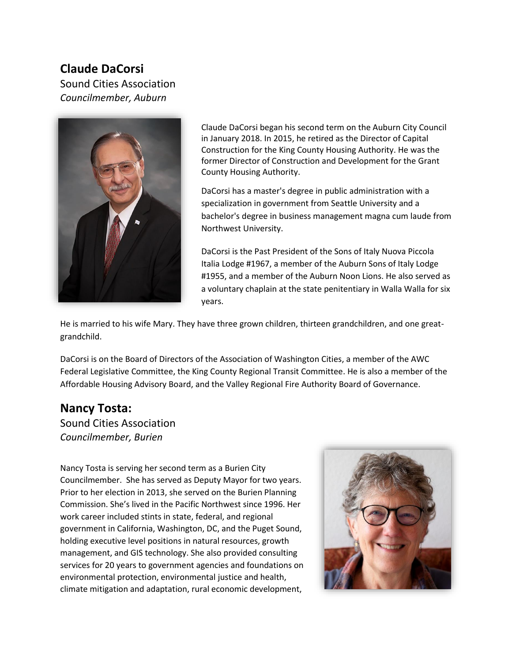### **Claude DaCorsi**

Sound Cities Association *Councilmember, Auburn*



Claude DaCorsi began his second term on the Auburn City Council in January 2018. In 2015, he retired as the Director of Capital Construction for the King County Housing Authority. He was the former Director of Construction and Development for the Grant County Housing Authority.

DaCorsi has a master's degree in public administration with a specialization in government from Seattle University and a bachelor's degree in business management magna cum laude from Northwest University.

DaCorsi is the Past President of the Sons of Italy Nuova Piccola Italia Lodge #1967, a member of the Auburn Sons of Italy Lodge #1955, and a member of the Auburn Noon Lions. He also served as a voluntary chaplain at the state penitentiary in Walla Walla for six years.

He is married to his wife Mary. They have three grown children, thirteen grandchildren, and one greatgrandchild.

DaCorsi is on the Board of Directors of the Association of Washington Cities, a member of the AWC Federal Legislative Committee, the King County Regional Transit Committee. He is also a member of the Affordable Housing Advisory Board, and the Valley Regional Fire Authority Board of Governance.

#### **Nancy Tosta:**

Sound Cities Association *Councilmember, Burien*

Nancy Tosta is serving her second term as a Burien City Councilmember. She has served as Deputy Mayor for two years. Prior to her election in 2013, she served on the Burien Planning Commission. She's lived in the Pacific Northwest since 1996. Her work career included stints in state, federal, and regional government in California, Washington, DC, and the Puget Sound, holding executive level positions in natural resources, growth management, and GIS technology. She also provided consulting services for 20 years to government agencies and foundations on environmental protection, environmental justice and health, climate mitigation and adaptation, rural economic development,